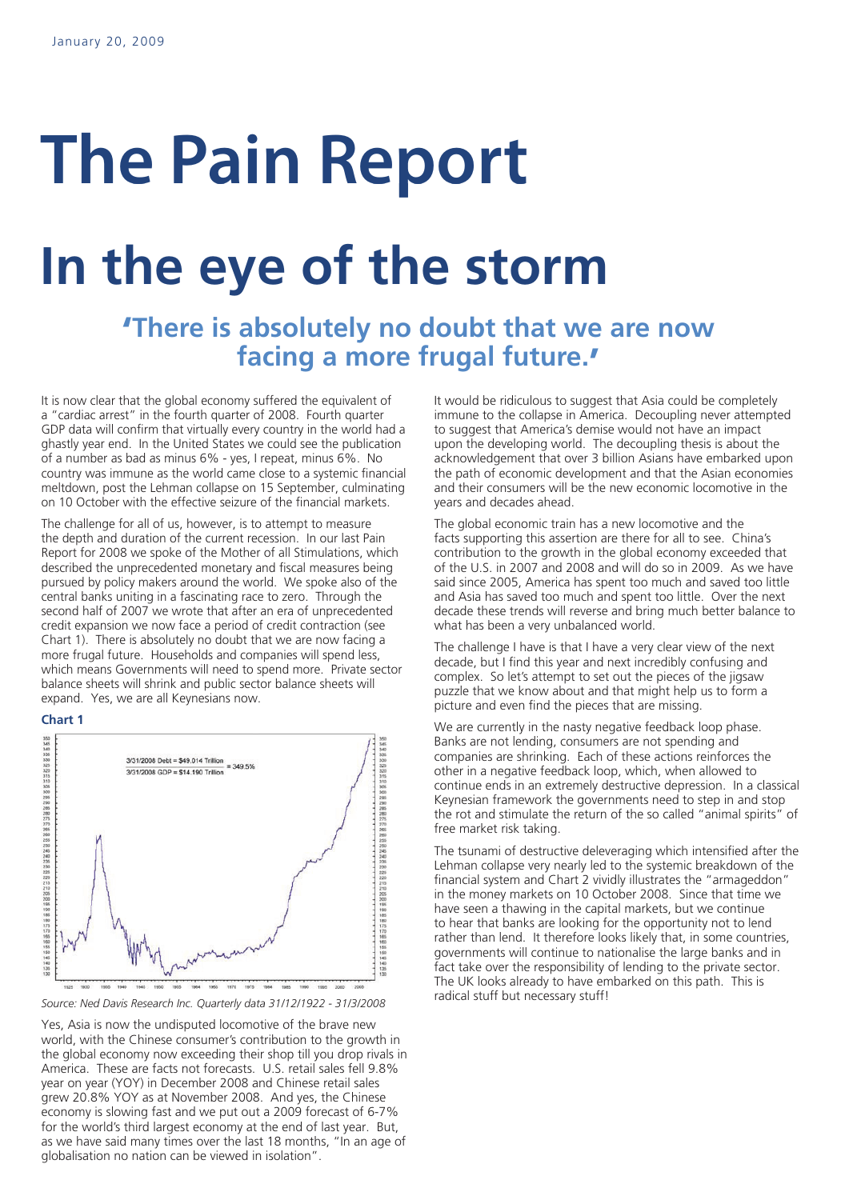# **The Pain Report**

## **In the eye of the storm**

## **'There is absolutely no doubt that we are now facing a more frugal future. '**

It is now clear that the global economy suffered the equivalent of a "cardiac arrest" in the fourth quarter of 2008. Fourth quarter GDP data will confirm that virtually every country in the world had a ghastly year end. In the United States we could see the publication of a number as bad as minus 6% - yes, I repeat, minus 6%. No country was immune as the world came close to a systemic financial meltdown, post the Lehman collapse on 15 September, culminating on 10 October with the effective seizure of the financial markets.

The challenge for all of us, however, is to attempt to measure the depth and duration of the current recession. In our last Pain Report for 2008 we spoke of the Mother of all Stimulations, which described the unprecedented monetary and fiscal measures being pursued by policy makers around the world. We spoke also of the central banks uniting in a fascinating race to zero. Through the second half of 2007 we wrote that after an era of unprecedented credit expansion we now face a period of credit contraction (see Chart 1). There is absolutely no doubt that we are now facing a more frugal future. Households and companies will spend less, which means Governments will need to spend more. Private sector balance sheets will shrink and public sector balance sheets will expand. Yes, we are all Keynesians now.

#### **Chart 1**



*Source: Ned Davis Research Inc. Quarterly data 31/12/1922 - 31/3/2008*

Yes, Asia is now the undisputed locomotive of the brave new world, with the Chinese consumer's contribution to the growth in the global economy now exceeding their shop till you drop rivals in America. These are facts not forecasts. U.S. retail sales fell 9.8% year on year (YOY) in December 2008 and Chinese retail sales grew 20.8% YOY as at November 2008. And yes, the Chinese economy is slowing fast and we put out a 2009 forecast of 6-7% for the world's third largest economy at the end of last year. But, as we have said many times over the last 18 months, "In an age of globalisation no nation can be viewed in isolation".

It would be ridiculous to suggest that Asia could be completely immune to the collapse in America. Decoupling never attempted to suggest that America's demise would not have an impact upon the developing world. The decoupling thesis is about the acknowledgement that over 3 billion Asians have embarked upon the path of economic development and that the Asian economies and their consumers will be the new economic locomotive in the years and decades ahead.

The global economic train has a new locomotive and the facts supporting this assertion are there for all to see. China's contribution to the growth in the global economy exceeded that of the U.S. in 2007 and 2008 and will do so in 2009. As we have said since 2005, America has spent too much and saved too little and Asia has saved too much and spent too little. Over the next decade these trends will reverse and bring much better balance to what has been a very unbalanced world.

The challenge I have is that I have a very clear view of the next decade, but I find this year and next incredibly confusing and complex. So let's attempt to set out the pieces of the jigsaw puzzle that we know about and that might help us to form a picture and even find the pieces that are missing.

We are currently in the nasty negative feedback loop phase. Banks are not lending, consumers are not spending and companies are shrinking. Each of these actions reinforces the other in a negative feedback loop, which, when allowed to continue ends in an extremely destructive depression. In a classical Keynesian framework the governments need to step in and stop the rot and stimulate the return of the so called "animal spirits" of free market risk taking.

The tsunami of destructive deleveraging which intensified after the Lehman collapse very nearly led to the systemic breakdown of the financial system and Chart 2 vividly illustrates the "armageddon" in the money markets on 10 October 2008. Since that time we have seen a thawing in the capital markets, but we continue to hear that banks are looking for the opportunity not to lend rather than lend. It therefore looks likely that, in some countries, governments will continue to nationalise the large banks and in fact take over the responsibility of lending to the private sector. The UK looks already to have embarked on this path. This is radical stuff but necessary stuff!